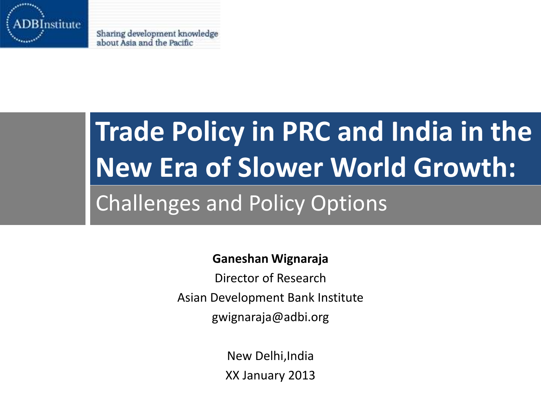

Sharing development knowledge about Asia and the Pacific

# **Trade Policy in PRC and India in the New Era of Slower World Growth:** Challenges and Policy Options

#### **Ganeshan Wignaraja**

Director of Research Asian Development Bank Institute gwignaraja@adbi.org

> New Delhi,India XX January 2013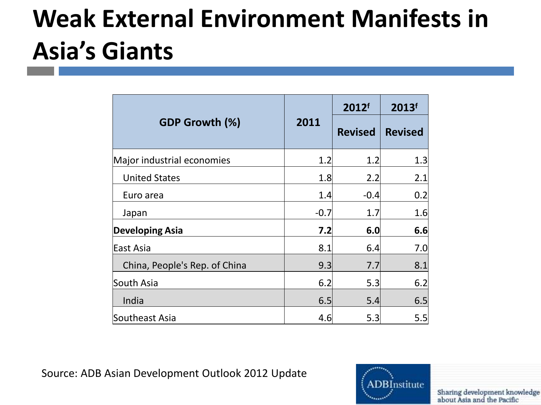### **Weak External Environment Manifests in Asia's Giants**

| <b>GDP Growth (%)</b>         | 2011   | 2012f<br><b>Revised</b> | 2013f<br><b>Revised</b> |
|-------------------------------|--------|-------------------------|-------------------------|
| Major industrial economies    | 1.2    | 1.2                     | 1.3                     |
| <b>United States</b>          | 1.8    | 2.2                     | 2.1                     |
| Euro area                     | 1.4    | $-0.4$                  | 0.2                     |
| Japan                         | $-0.7$ | 1.7                     | 1.6                     |
| <b>Developing Asia</b>        | 7.2    | 6.0                     | 6.6                     |
| East Asia                     | 8.1    | 6.4                     | 7.0                     |
| China, People's Rep. of China | 9.3    | 7.7                     | 8.1                     |
| South Asia                    | 6.2    | 5.3                     | 6.2                     |
| India                         | 6.5    | 5.4                     | 6.5                     |
| Southeast Asia                | 4.6    | 5.3                     | 5.5                     |

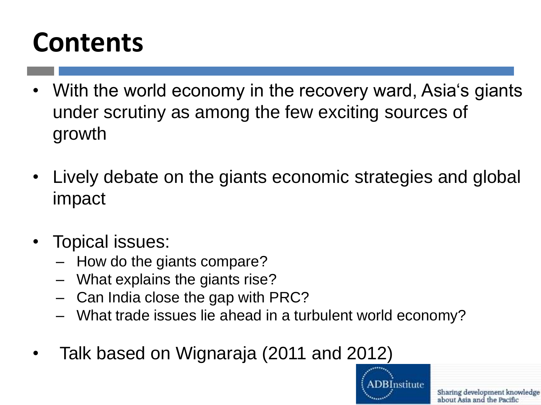### **Contents**

- With the world economy in the recovery ward, Asia's giants under scrutiny as among the few exciting sources of growth
- Lively debate on the giants economic strategies and global impact
- Topical issues:
	- How do the giants compare?
	- What explains the giants rise?
	- Can India close the gap with PRC?
	- What trade issues lie ahead in a turbulent world economy?
- Talk based on Wignaraja (2011 and 2012)

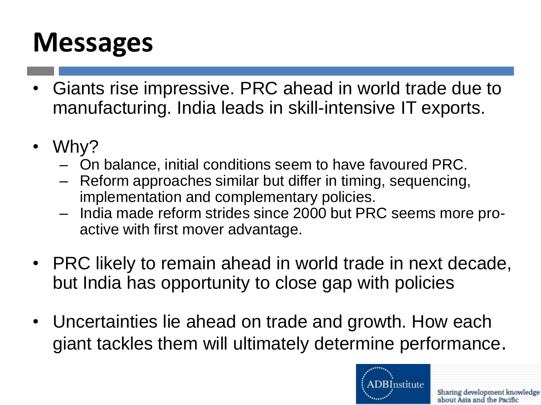### **Messages**

- Giants rise impressive. PRC ahead in world trade due to manufacturing. India leads in skill-intensive IT exports.
- Why?
	- On balance, initial conditions seem to have favoured PRC.
	- Reform approaches similar but differ in timing, sequencing, implementation and complementary policies.
	- India made reform strides since 2000 but PRC seems more proactive with first mover advantage.
- PRC likely to remain ahead in world trade in next decade, but India has opportunity to close gap with policies
- Uncertainties lie ahead on trade and growth. How each giant tackles them will ultimately determine performance.

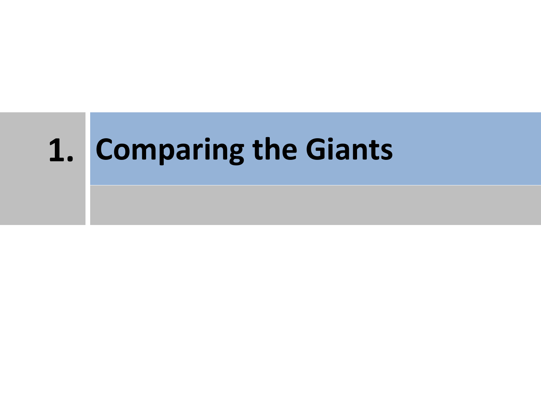# **1. Comparing the Giants**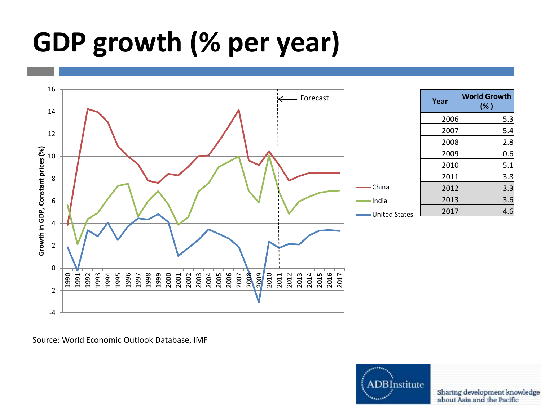### **GDP growth (% per year)**



Source: World Economic Outlook Database, IMF

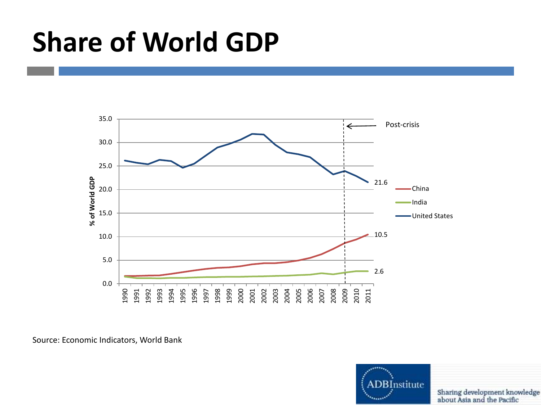### **Share of World GDP**



Source: Economic Indicators, World Bank

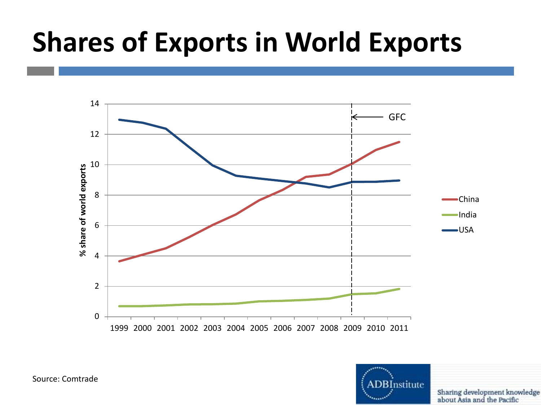### **Shares of Exports in World Exports**





Sharing development knowledge about Asia and the Pacific

Source: Comtrade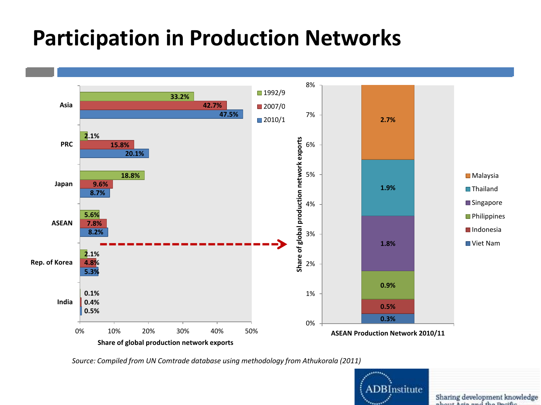### **Participation in Production Networks**



*Source: Compiled from UN Comtrade database using methodology from Athukorala (2011)*



Sharing development knowledge about Asia and the Booths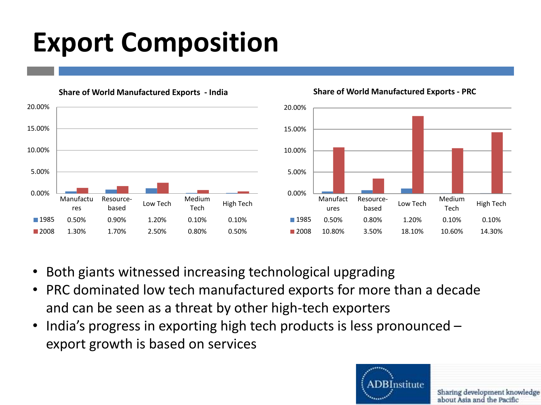### **Export Composition**



**Share of World Manufactured Exports - PRC**

- Both giants witnessed increasing technological upgrading
- PRC dominated low tech manufactured exports for more than a decade and can be seen as a threat by other high-tech exporters
- India's progress in exporting high tech products is less pronounced export growth is based on services

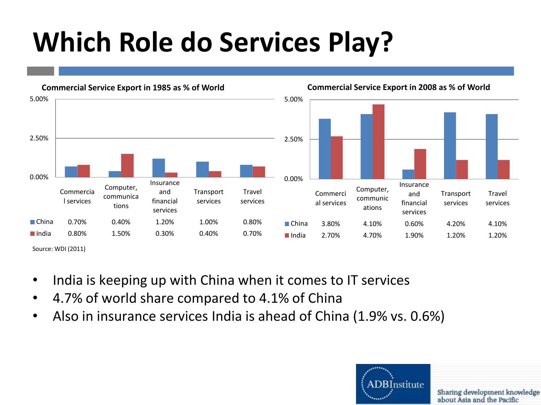### **Which Role do Services Play?**



- India is keeping up with China when it comes to IT services
- 4.7% of world share compared to 4.1% of China
- Also in insurance services India is ahead of China (1.9% vs. 0.6%)

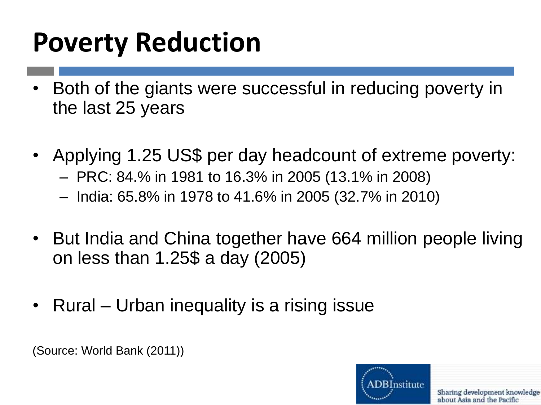### **Poverty Reduction**

- Both of the giants were successful in reducing poverty in the last 25 years
- Applying 1.25 US\$ per day headcount of extreme poverty:
	- PRC: 84.% in 1981 to 16.3% in 2005 (13.1% in 2008)
	- India: 65.8% in 1978 to 41.6% in 2005 (32.7% in 2010)
- But India and China together have 664 million people living on less than 1.25\$ a day (2005)
- Rural Urban inequality is a rising issue

(Source: World Bank (2011))

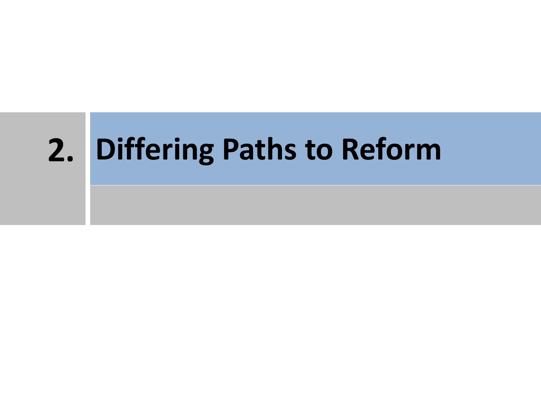# **2. Differing Paths to Reform**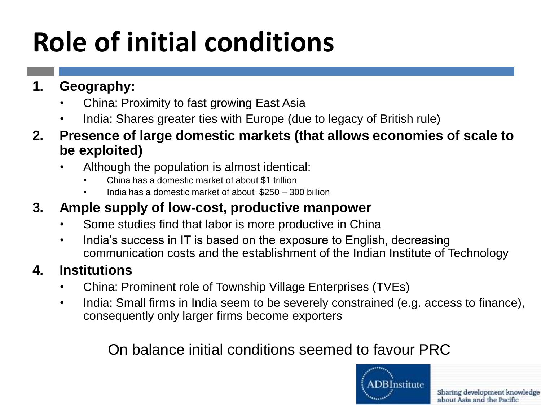# **Role of initial conditions**

- **1. Geography:**
	- China: Proximity to fast growing East Asia
	- India: Shares greater ties with Europe (due to legacy of British rule)
- **2. Presence of large domestic markets (that allows economies of scale to be exploited)**
	- Although the population is almost identical:
		- China has a domestic market of about \$1 trillion
		- India has a domestic market of about \$250 300 billion

#### **3. Ample supply of low-cost, productive manpower**

- Some studies find that labor is more productive in China
- India's success in IT is based on the exposure to English, decreasing communication costs and the establishment of the Indian Institute of Technology

#### **4. Institutions**

- China: Prominent role of Township Village Enterprises (TVEs)
- India: Small firms in India seem to be severely constrained (e.g. access to finance), consequently only larger firms become exporters

#### On balance initial conditions seemed to favour PRC

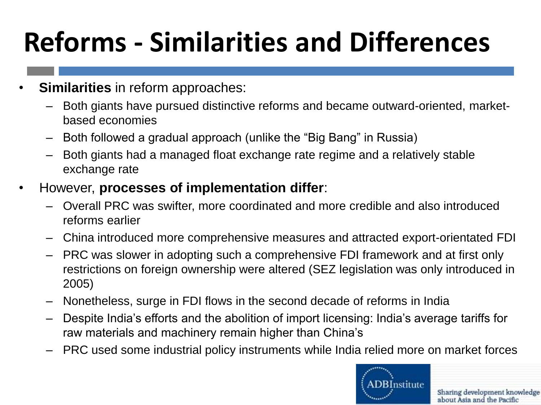# **Reforms - Similarities and Differences**

- **Similarities** in reform approaches:
	- Both giants have pursued distinctive reforms and became outward-oriented, marketbased economies
	- Both followed a gradual approach (unlike the "Big Bang" in Russia)
	- Both giants had a managed float exchange rate regime and a relatively stable exchange rate
- However, **processes of implementation differ**:
	- Overall PRC was swifter, more coordinated and more credible and also introduced reforms earlier
	- China introduced more comprehensive measures and attracted export-orientated FDI
	- PRC was slower in adopting such a comprehensive FDI framework and at first only restrictions on foreign ownership were altered (SEZ legislation was only introduced in 2005)
	- Nonetheless, surge in FDI flows in the second decade of reforms in India
	- Despite India's efforts and the abolition of import licensing: India's average tariffs for raw materials and machinery remain higher than China's
	- PRC used some industrial policy instruments while India relied more on market forces

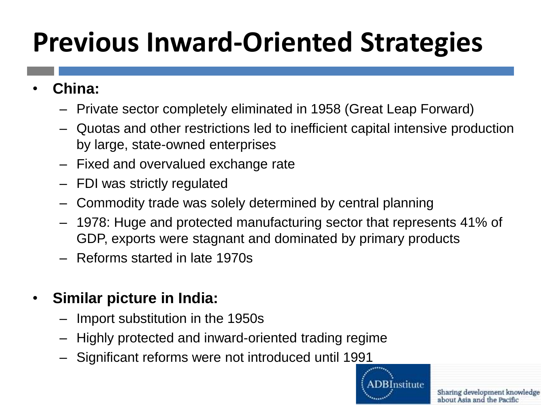# **Previous Inward-Oriented Strategies**

- **China:**
	- Private sector completely eliminated in 1958 (Great Leap Forward)
	- Quotas and other restrictions led to inefficient capital intensive production by large, state-owned enterprises
	- Fixed and overvalued exchange rate
	- FDI was strictly regulated
	- Commodity trade was solely determined by central planning
	- 1978: Huge and protected manufacturing sector that represents 41% of GDP, exports were stagnant and dominated by primary products
	- Reforms started in late 1970s
- **Similar picture in India:**
	- Import substitution in the 1950s
	- Highly protected and inward-oriented trading regime
	- Significant reforms were not introduced until 1991

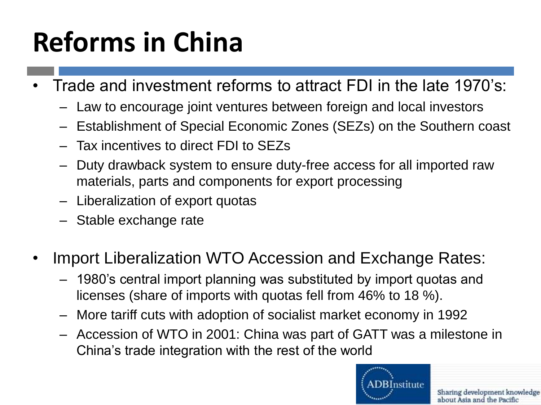# **Reforms in China**

- Trade and investment reforms to attract FDI in the late 1970's:
	- Law to encourage joint ventures between foreign and local investors
	- Establishment of Special Economic Zones (SEZs) on the Southern coast
	- Tax incentives to direct FDI to SEZs
	- Duty drawback system to ensure duty-free access for all imported raw materials, parts and components for export processing
	- Liberalization of export quotas
	- Stable exchange rate
- Import Liberalization WTO Accession and Exchange Rates:
	- 1980's central import planning was substituted by import quotas and licenses (share of imports with quotas fell from 46% to 18 %).
	- More tariff cuts with adoption of socialist market economy in 1992
	- Accession of WTO in 2001: China was part of GATT was a milestone in China's trade integration with the rest of the world

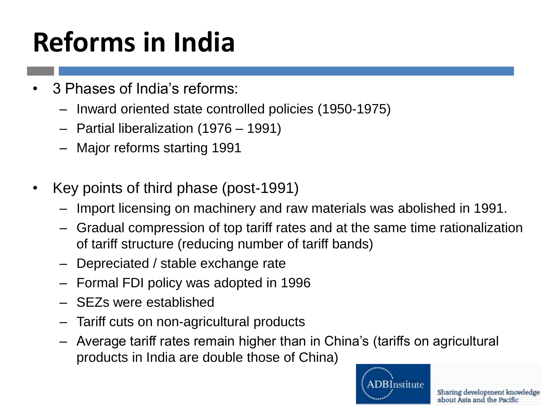# **Reforms in India**

- 3 Phases of India's reforms:
	- Inward oriented state controlled policies (1950-1975)
	- Partial liberalization (1976 1991)
	- Major reforms starting 1991
- Key points of third phase (post-1991)
	- Import licensing on machinery and raw materials was abolished in 1991.
	- Gradual compression of top tariff rates and at the same time rationalization of tariff structure (reducing number of tariff bands)
	- Depreciated / stable exchange rate
	- Formal FDI policy was adopted in 1996
	- SEZs were established
	- Tariff cuts on non-agricultural products
	- Average tariff rates remain higher than in China's (tariffs on agricultural products in India are double those of China)

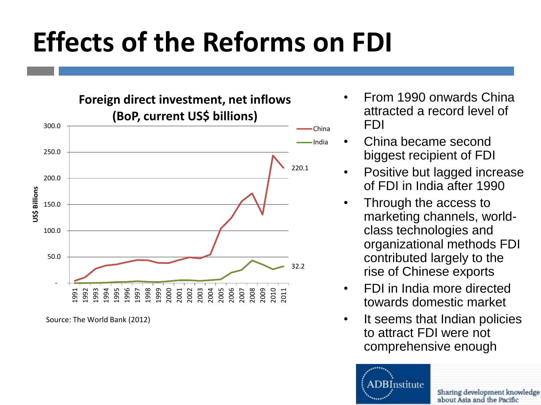### **Effects of the Reforms on FDI**

220.1 32.2 - 50.0 100.0 150.0 200.0 250.0 300.0 1991 1992 1993 1994 1995 1996 1997 1998 1999 2000 2001 2002 2003 2004 2005 2006 2007 2008 2009 2010 2011 **US\$ Billions Foreign direct investment, net inflows (BoP, current US\$ billions)** China India

Source: The World Bank (2012)

- From 1990 onwards China attracted a record level of FDI
- China became second biggest recipient of FDI
- Positive but lagged increase of FDI in India after 1990
- Through the access to marketing channels, worldclass technologies and organizational methods FDI contributed largely to the rise of Chinese exports
- FDI in India more directed towards domestic market
- It seems that Indian policies to attract FDI were not comprehensive enough

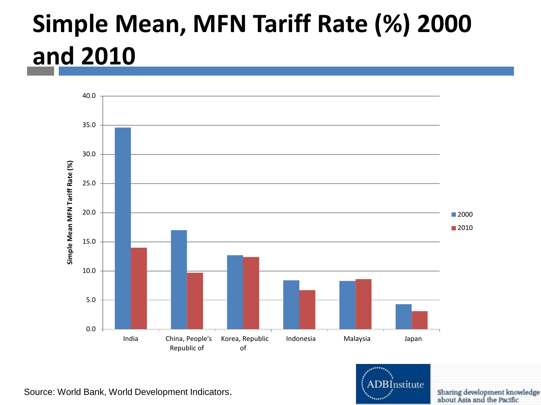### **Simple Mean, MFN Tariff Rate (%) 2000 and 2010**



Source: World Bank, World Development Indicators.

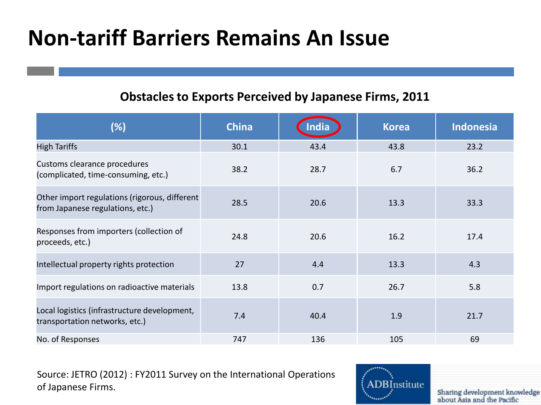### **Non-tariff Barriers Remains An Issue**

#### **Obstacles to Exports Perceived by Japanese Firms, 2011**

| (%)                                                                               | <b>China</b> | <b>Inclia</b> | <b>Korea</b> | <b>Indonesia</b> |
|-----------------------------------------------------------------------------------|--------------|---------------|--------------|------------------|
| <b>High Tariffs</b>                                                               | 30.1         | 43.4          | 43.8         | 23.2             |
| Customs clearance procedures<br>(complicated, time-consuming, etc.)               | 38.2         | 28.7          | 6.7          | 36.2             |
| Other import regulations (rigorous, different<br>from Japanese regulations, etc.) | 28.5         | 20.6          | 13.3         | 33.3             |
| Responses from importers (collection of<br>proceeds, etc.)                        | 24.8         | 20.6          | 16.2         | 17.4             |
| Intellectual property rights protection                                           | 27           | 4.4           | 13.3         | 4.3              |
| Import regulations on radioactive materials                                       | 13.8         | 0.7           | 26.7         | 5.8              |
| Local logistics (infrastructure development,<br>transportation networks, etc.)    | 7.4          | 40.4          | 1.9          | 21.7             |
| No. of Responses                                                                  | 747          | 136           | 105          | 69               |

Source: JETRO (2012) : FY2011 Survey on the International Operations of Japanese Firms.

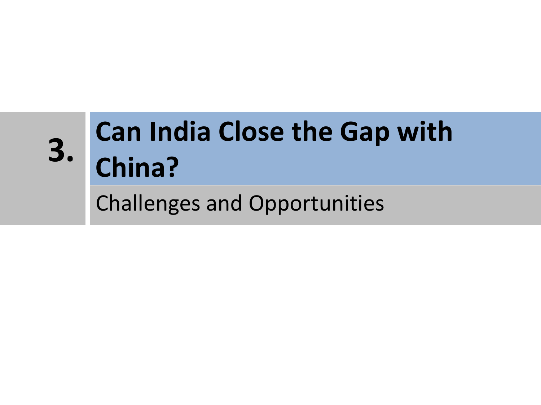# **3.**

# **Can India Close the Gap with China?**

Challenges and Opportunities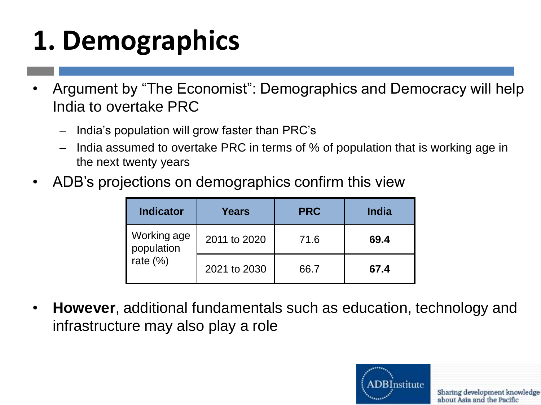# **1. Demographics**

- Argument by "The Economist": Demographics and Democracy will help India to overtake PRC
	- India's population will grow faster than PRC's
	- India assumed to overtake PRC in terms of % of population that is working age in the next twenty years
- ADB's projections on demographics confirm this view

| <b>Indicator</b>                        | Years        | <b>PRC</b> | <b>India</b> |
|-----------------------------------------|--------------|------------|--------------|
| Working age<br>population<br>rate $(%)$ | 2011 to 2020 | 71.6       | 69.4         |
|                                         | 2021 to 2030 | 66.7       | 67.4         |

• **However**, additional fundamentals such as education, technology and infrastructure may also play a role

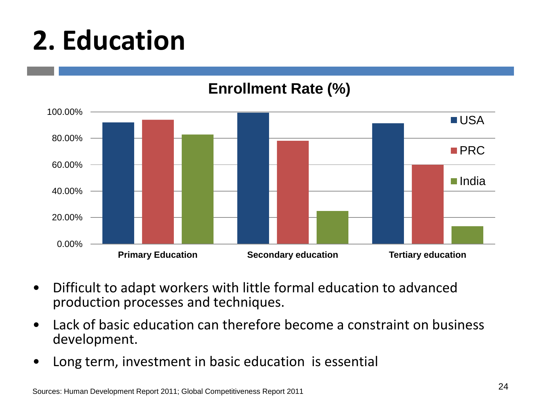### **2. Education**

#### **Enrollment Rate (%)**



- Difficult to adapt workers with little formal education to advanced production processes and techniques.
- Lack of basic education can therefore become a constraint on business development.
- Long term, investment in basic education is essential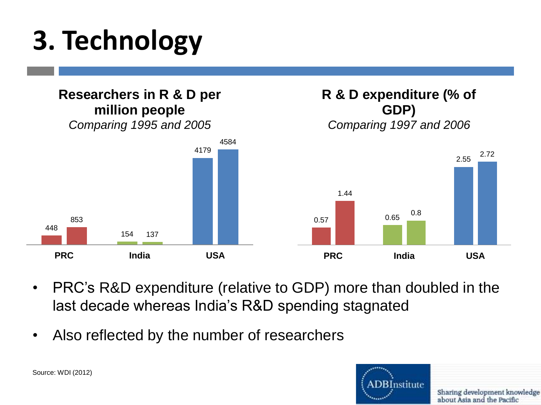# **3. Technology**



- PRC's R&D expenditure (relative to GDP) more than doubled in the last decade whereas India's R&D spending stagnated
- Also reflected by the number of researchers



Source: WDI (2012)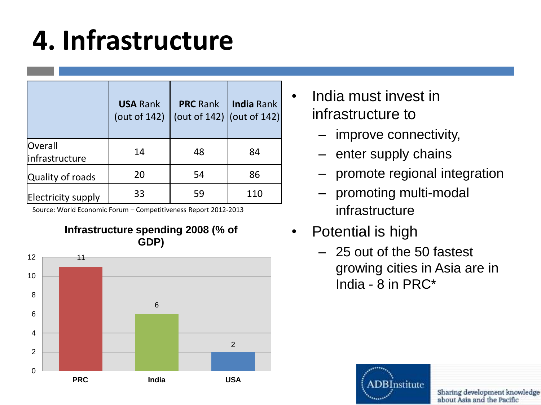### **4. Infrastructure**

|                                   | <b>USA Rank</b><br>(out of 142) | <b>PRC</b> Rank<br>(out of 142) $ $ (out of 142) $ $ | <b>India Rank</b> |
|-----------------------------------|---------------------------------|------------------------------------------------------|-------------------|
| <b>Overall</b><br>linfrastructure | 14                              | 48                                                   | 84                |
| Quality of roads                  | 20                              | 54                                                   | 86                |
| Electricity supply                | 33                              | 59                                                   | 110               |

Source: World Economic Forum – Competitiveness Report 2012-2013



- India must invest in infrastructure to
	- improve connectivity,
	- enter supply chains
	- promote regional integration
	- promoting multi-modal infrastructure
- Potential is high
	- 25 out of the 50 fastest growing cities in Asia are in India - 8 in PRC\*

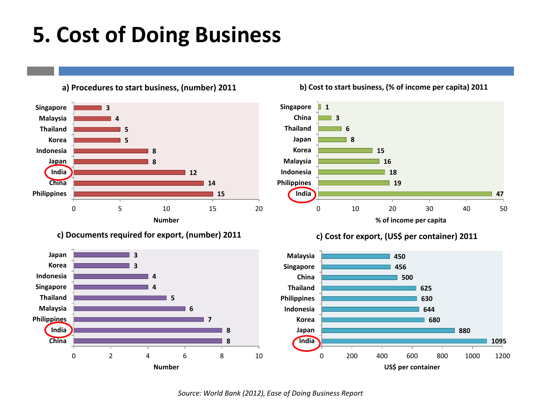### **5. Cost of Doing Business**

**a) Procedures to start business, (number) 2011**











*Source: World Bank (2012), Ease of Doing Business Report*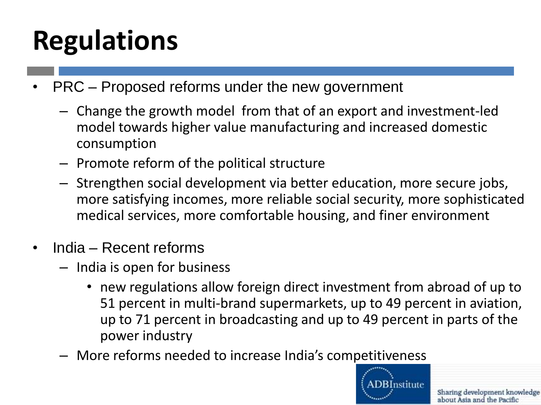# **Regulations**

- PRC Proposed reforms under the new government
	- Change the growth model from that of an export and investment-led model towards higher value manufacturing and increased domestic consumption
	- Promote reform of the political structure
	- Strengthen social development via better education, more secure jobs, more satisfying incomes, more reliable social security, more sophisticated medical services, more comfortable housing, and finer environment
- India Recent reforms
	- India is open for business
		- new regulations allow foreign direct investment from abroad of up to 51 percent in multi-brand supermarkets, up to 49 percent in aviation, up to 71 percent in broadcasting and up to 49 percent in parts of the power industry
	- More reforms needed to increase India's competitiveness

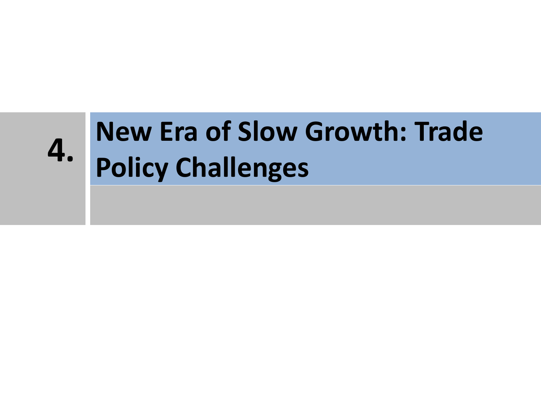### **New Era of Slow Growth: Trade Policy Challenges 4.**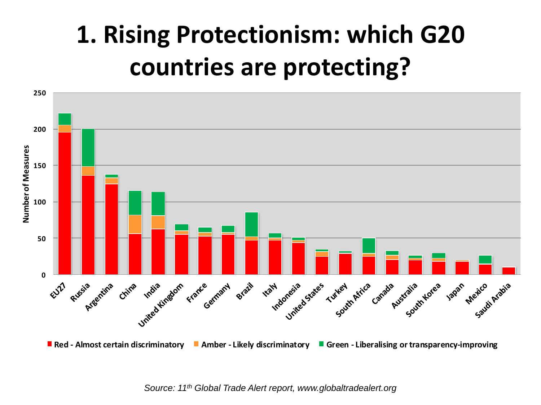### **1. Rising Protectionism: which G20 countries are protecting?**

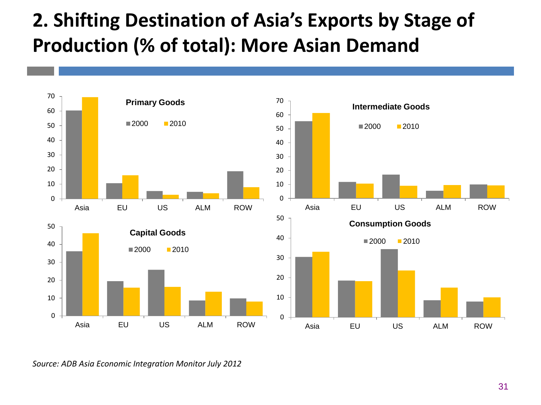### **. Shifting Destination of Asia's Exports by Stage of Production (% of total): More Asian Demand**



*Source: ADB Asia Economic Integration Monitor July 2012*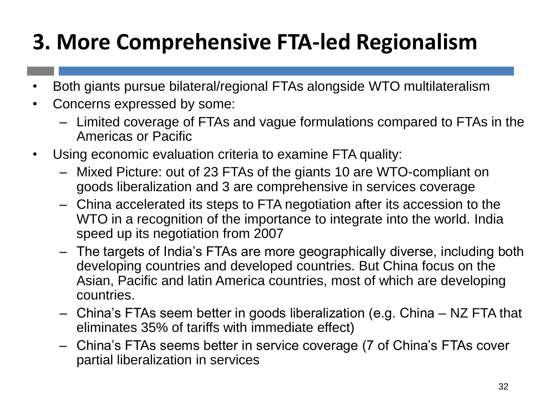### **3. More Comprehensive FTA-led Regionalism**

- Both giants pursue bilateral/regional FTAs alongside WTO multilateralism
- Concerns expressed by some:
	- Limited coverage of FTAs and vague formulations compared to FTAs in the Americas or Pacific
- Using economic evaluation criteria to examine FTA quality:
	- Mixed Picture: out of 23 FTAs of the giants 10 are WTO-compliant on goods liberalization and 3 are comprehensive in services coverage
	- China accelerated its steps to FTA negotiation after its accession to the WTO in a recognition of the importance to integrate into the world. India speed up its negotiation from 2007
	- The targets of India's FTAs are more geographically diverse, including both developing countries and developed countries. But China focus on the Asian, Pacific and latin America countries, most of which are developing countries.
	- China's FTAs seem better in goods liberalization (e.g. China NZ FTA that eliminates 35% of tariffs with immediate effect)
	- China's FTAs seems better in service coverage (7 of China's FTAs cover partial liberalization in services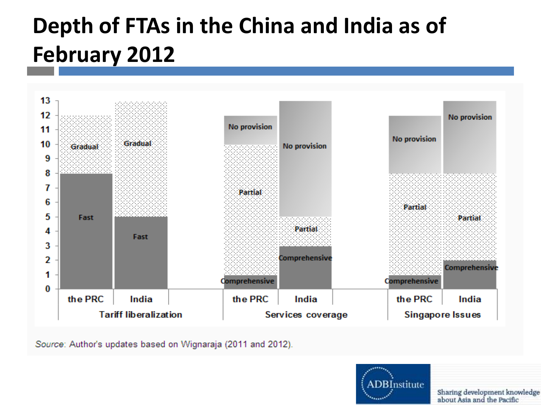### **Depth of FTAs in the China and India as of February 2012**



Source: Author's updates based on Wignaraja (2011 and 2012).

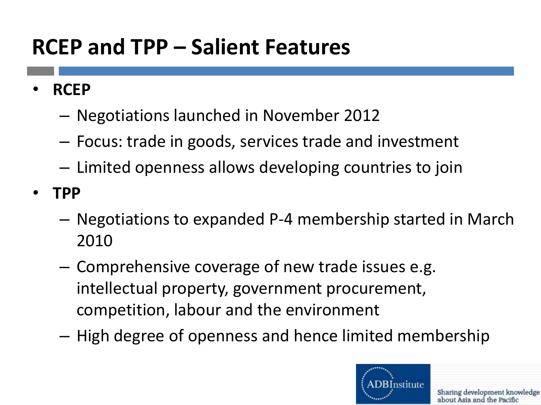### **RCEP and TPP – Salient Features**

- **RCEP**
	- Negotiations launched in November 2012
	- Focus: trade in goods, services trade and investment
	- Limited openness allows developing countries to join
- **TPP**
	- Negotiations to expanded P-4 membership started in March 2010
	- Comprehensive coverage of new trade issues e.g. intellectual property, government procurement, competition, labour and the environment
	- High degree of openness and hence limited membership

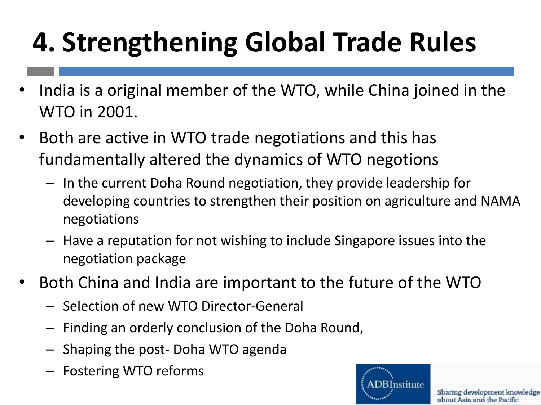# **4. Strengthening Global Trade Rules**

- India is a original member of the WTO, while China joined in the WTO in 2001.
- Both are active in WTO trade negotiations and this has fundamentally altered the dynamics of WTO negotions
	- In the current Doha Round negotiation, they provide leadership for developing countries to strengthen their position on agriculture and NAMA negotiations
	- Have a reputation for not wishing to include Singapore issues into the negotiation package
- Both China and India are important to the future of the WTO
	- Selection of new WTO Director-General
	- Finding an orderly conclusion of the Doha Round,
	- Shaping the post- Doha WTO agenda
	- Fostering WTO reforms

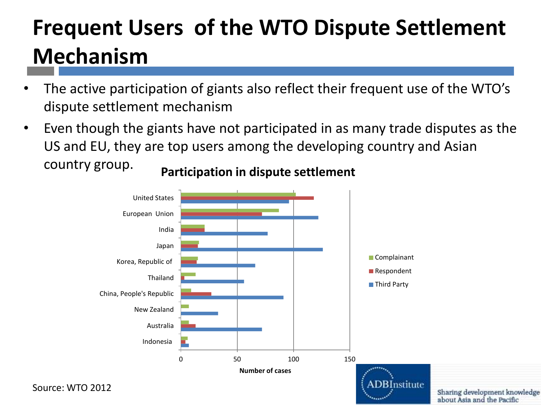### **Frequent Users of the WTO Dispute Settlement Mechanism**

- The active participation of giants also reflect their frequent use of the WTO's dispute settlement mechanism
- Even though the giants have not participated in as many trade disputes as the US and EU, they are top users among the developing country and Asian country group.



**Participation in dispute settlement**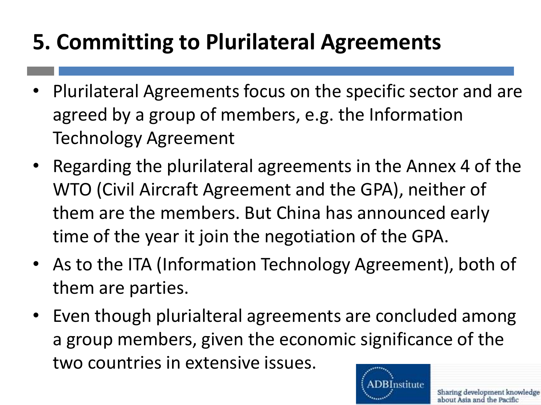### **5. Committing to Plurilateral Agreements**

- Plurilateral Agreements focus on the specific sector and are agreed by a group of members, e.g. the Information Technology Agreement
- Regarding the plurilateral agreements in the Annex 4 of the WTO (Civil Aircraft Agreement and the GPA), neither of them are the members. But China has announced early time of the year it join the negotiation of the GPA.
- As to the ITA (Information Technology Agreement), both of them are parties.
- Even though plurialteral agreements are concluded among a group members, given the economic significance of the two countries in extensive issues.

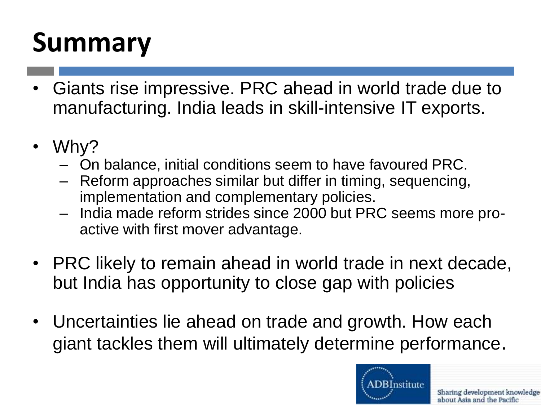### **Summary**

- Giants rise impressive. PRC ahead in world trade due to manufacturing. India leads in skill-intensive IT exports.
- Why?
	- On balance, initial conditions seem to have favoured PRC.
	- Reform approaches similar but differ in timing, sequencing, implementation and complementary policies.
	- India made reform strides since 2000 but PRC seems more proactive with first mover advantage.
- PRC likely to remain ahead in world trade in next decade, but India has opportunity to close gap with policies
- Uncertainties lie ahead on trade and growth. How each giant tackles them will ultimately determine performance.